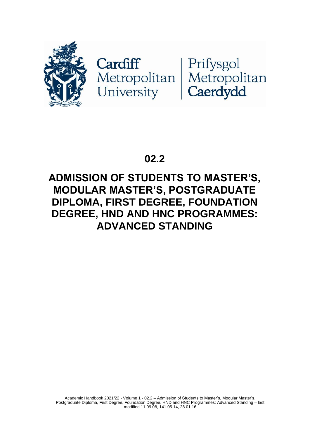

# Cardiff<br>
Metropolitan Metropolitan<br>
University Caerdydd

# **02.2**

# **ADMISSION OF STUDENTS TO MASTER'S, MODULAR MASTER'S, POSTGRADUATE DIPLOMA, FIRST DEGREE, FOUNDATION DEGREE, HND AND HNC PROGRAMMES: ADVANCED STANDING**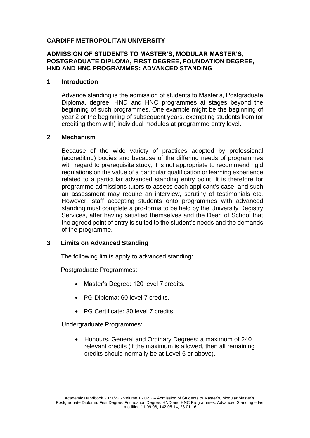#### **CARDIFF METROPOLITAN UNIVERSITY**

## **ADMISSION OF STUDENTS TO MASTER'S, MODULAR MASTER'S, POSTGRADUATE DIPLOMA, FIRST DEGREE, FOUNDATION DEGREE, HND AND HNC PROGRAMMES: ADVANCED STANDING**

#### **1 Introduction**

Advance standing is the admission of students to Master's, Postgraduate Diploma, degree, HND and HNC programmes at stages beyond the beginning of such programmes. One example might be the beginning of year 2 or the beginning of subsequent years, exempting students from (or crediting them with) individual modules at programme entry level.

#### **2 Mechanism**

Because of the wide variety of practices adopted by professional (accrediting) bodies and because of the differing needs of programmes with regard to prerequisite study, it is not appropriate to recommend rigid regulations on the value of a particular qualification or learning experience related to a particular advanced standing entry point. It is therefore for programme admissions tutors to assess each applicant's case, and such an assessment may require an interview, scrutiny of testimonials etc. However, staff accepting students onto programmes with advanced standing must complete a pro-forma to be held by the University Registry Services, after having satisfied themselves and the Dean of School that the agreed point of entry is suited to the student's needs and the demands of the programme.

#### **3 Limits on Advanced Standing**

The following limits apply to advanced standing:

Postgraduate Programmes:

- Master's Degree: 120 level 7 credits.
- PG Diploma: 60 level 7 credits.
- PG Certificate: 30 level 7 credits.

Undergraduate Programmes:

• Honours, General and Ordinary Degrees: a maximum of 240 relevant credits (if the maximum is allowed, then all remaining credits should normally be at Level 6 or above).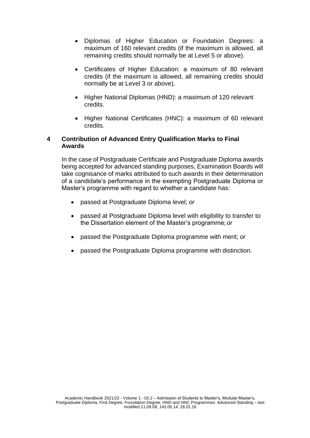- Diplomas of Higher Education or Foundation Degrees: a maximum of 160 relevant credits (if the maximum is allowed, all remaining credits should normally be at Level 5 or above).
- Certificates of Higher Education: a maximum of 80 relevant credits (if the maximum is allowed, all remaining credits should normally be at Level 3 or above).
- Higher National Diplomas (HND): a maximum of 120 relevant credits.
- Higher National Certificates (HNC): a maximum of 60 relevant credits.

## **4 Contribution of Advanced Entry Qualification Marks to Final Awards**

In the case of Postgraduate Certificate and Postgraduate Diploma awards being accepted for advanced standing purposes, Examination Boards will take cognisance of marks attributed to such awards in their determination of a candidate's performance in the exempting Postgraduate Diploma or Master's programme with regard to whether a candidate has:

- passed at Postgraduate Diploma level; *or*
- passed at Postgraduate Diploma level with eligibility to transfer to the Dissertation element of the Master's programme; *or*
- passed the Postgraduate Diploma programme with merit; *or*
- passed the Postgraduate Diploma programme with distinction.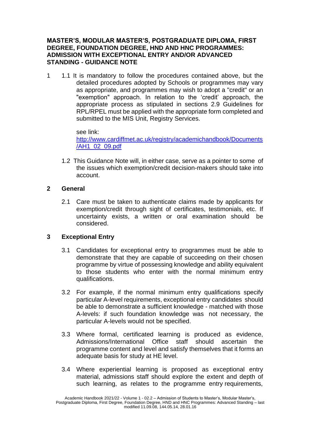### **MASTER'S, MODULAR MASTER'S, POSTGRADUATE DIPLOMA, FIRST DEGREE, FOUNDATION DEGREE, HND AND HNC PROGRAMMES: ADMISSION WITH EXCEPTIONAL ENTRY AND/OR ADVANCED STANDING - GUIDANCE NOTE**

1 1.1 It is mandatory to follow the procedures contained above, but the detailed procedures adopted by Schools or programmes may vary as appropriate, and programmes may wish to adopt a "credit" or an "exemption" approach. In relation to the 'credit' approach, the appropriate process as stipulated in sections 2.9 Guidelines for RPL/RPEL must be applied with the appropriate form completed and submitted to the MIS Unit, Registry Services.

#### see link:

[http://www.cardiffmet.ac.uk/registry/academichandbook/Documents](http://www.cardiffmet.ac.uk/registry/academichandbook/Documents/AH1_02_09.pdf) [/AH1\\_02\\_09.pdf](http://www.cardiffmet.ac.uk/registry/academichandbook/Documents/AH1_02_09.pdf)

1.2 This Guidance Note will, in either case, serve as a pointer to some of the issues which exemption/credit decision-makers should take into account.

#### **2 General**

2.1 Care must be taken to authenticate claims made by applicants for exemption/credit through sight of certificates, testimonials, etc. If uncertainty exists, a written or oral examination should be considered.

#### **3 Exceptional Entry**

- 3.1 Candidates for exceptional entry to programmes must be able to demonstrate that they are capable of succeeding on their chosen programme by virtue of possessing knowledge and ability equivalent to those students who enter with the normal minimum entry qualifications.
- 3.2 For example, if the normal minimum entry qualifications specify particular A-level requirements, exceptional entry candidates should be able to demonstrate a sufficient knowledge - matched with those A-levels: if such foundation knowledge was not necessary, the particular A-levels would not be specified.
- 3.3 Where formal, certificated learning is produced as evidence, Admissions/International Office staff should ascertain the programme content and level and satisfy themselves that it forms an adequate basis for study at HE level.
- 3.4 Where experiential learning is proposed as exceptional entry material, admissions staff should explore the extent and depth of such learning, as relates to the programme entry requirements,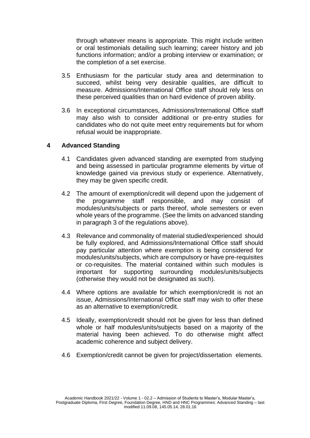through whatever means is appropriate. This might include written or oral testimonials detailing such learning; career history and job functions information; and/or a probing interview or examination; or the completion of a set exercise.

- 3.5 Enthusiasm for the particular study area and determination to succeed, whilst being very desirable qualities, are difficult to measure. Admissions/International Office staff should rely less on these perceived qualities than on hard evidence of proven ability.
- 3.6 In exceptional circumstances, Admissions/International Office staff may also wish to consider additional or pre-entry studies for candidates who do not quite meet entry requirements but for whom refusal would be inappropriate.

# **4 Advanced Standing**

- 4.1 Candidates given advanced standing are exempted from studying and being assessed in particular programme elements by virtue of knowledge gained via previous study or experience. Alternatively, they may be given specific credit.
- 4.2 The amount of exemption/credit will depend upon the judgement of the programme staff responsible, and may consist of modules/units/subjects or parts thereof, whole semesters or even whole years of the programme. (See the limits on advanced standing in paragraph 3 of the regulations above).
- 4.3 Relevance and commonality of material studied/experienced should be fully explored, and Admissions/International Office staff should pay particular attention where exemption is being considered for modules/units/subjects, which are compulsory or have pre-requisites or co-requisites. The material contained within such modules is important for supporting surrounding modules/units/subjects (otherwise they would not be designated as such).
- 4.4 Where options are available for which exemption/credit is not an issue, Admissions/International Office staff may wish to offer these as an alternative to exemption/credit.
- 4.5 Ideally, exemption/credit should not be given for less than defined whole or half modules/units/subjects based on a majority of the material having been achieved. To do otherwise might affect academic coherence and subject delivery.
- 4.6 Exemption/credit cannot be given for project/dissertation elements.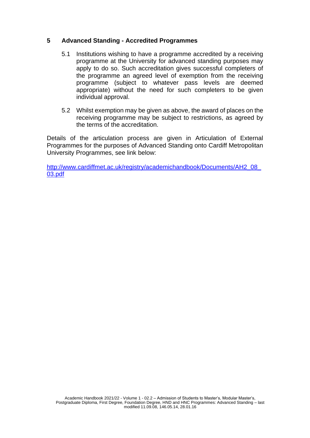## **5 Advanced Standing - Accredited Programmes**

- 5.1 Institutions wishing to have a programme accredited by a receiving programme at the University for advanced standing purposes may apply to do so. Such accreditation gives successful completers of the programme an agreed level of exemption from the receiving programme (subject to whatever pass levels are deemed appropriate) without the need for such completers to be given individual approval.
- 5.2 Whilst exemption may be given as above, the award of places on the receiving programme may be subject to restrictions, as agreed by the terms of the accreditation.

Details of the articulation process are given in Articulation of External Programmes for the purposes of Advanced Standing onto Cardiff Metropolitan University Programmes, see link below:

http://www.cardiffmet.ac.uk/registry/academichandbook/Documents/AH2\_08 [03.pdf](http://www.cardiffmet.ac.uk/registry/academichandbook/Documents/AH2_08_03.pdf)